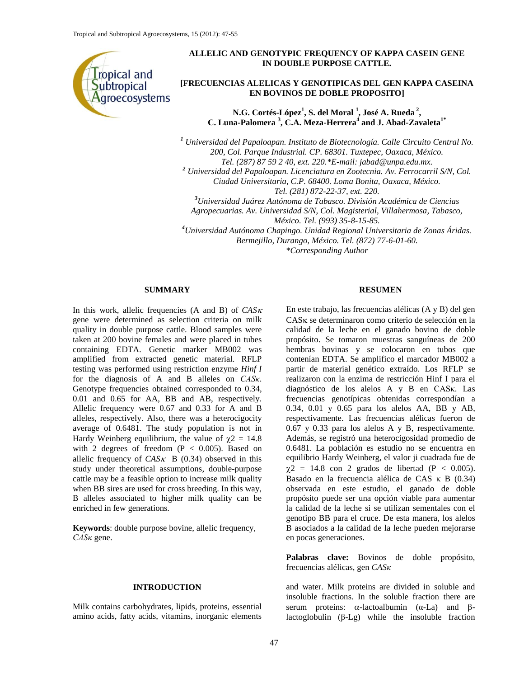

# **ALLELIC AND GENOTYPIC FREQUENCY OF KAPPA CASEIN GENE IN DOUBLE PURPOSE CATTLE.**

# **[FRECUENCIAS ALELICAS Y GENOTIPICAS DEL GEN KAPPA CASEINA EN BOVINOS DE DOBLE PROPOSITO]**

**N.G. Cortés-López<sup>1</sup> , S. del Moral <sup>1</sup> , José A. Rueda <sup>2</sup> , C. Luna-Palomera <sup>3</sup> , C.A. Meza-Herrera<sup>4</sup> and J. Abad-Zavaleta1\***

*<sup>1</sup> Universidad del Papaloapan. Instituto de Biotecnología. Calle Circuito Central No. 200, Col. Parque Industrial. CP. 68301. Tuxtepec, Oaxaca, México. Tel. (287) 87 59 2 40, ext. 220.\*E-mail: [jabad@unpa.edu.mx.](mailto:jabad@unpa.edu.mx)*

*<sup>2</sup> Universidad del Papaloapan. Licenciatura en Zootecnia. Av. Ferrocarril S/N, Col.* 

*Ciudad Universitaria, C.P. 68400. Loma Bonita, Oaxaca, México.* 

*Tel. (281) 872-22-37, ext. 220.*

*<sup>3</sup>Universidad Juárez Autónoma de Tabasco. División Académica de Ciencias* 

*Agropecuarias. Av. Universidad S/N, Col. Magisterial, Villahermosa, Tabasco,* 

*México. Tel. (993) 35-8-15-85.*

*<sup>4</sup>Universidad Autónoma Chapingo. Unidad Regional Universitaria de Zonas Áridas. Bermejillo, Durango, México. Tel. (872) 77-6-01-60.*

*\*Corresponding Author*

### **SUMMARY**

In this work, allelic frequencies  $(A \text{ and } B)$  of  $CAS\kappa$ gene were determined as selection criteria on milk quality in double purpose cattle. Blood samples were taken at 200 bovine females and were placed in tubes containing EDTA. Genetic marker MB002 was amplified from extracted genetic material. RFLP testing was performed using restriction enzyme *Hinf I* for the diagnosis of A and B alleles on *CASκ*. Genotype frequencies obtained corresponded to 0.34, 0.01 and 0.65 for AA, BB and AB, respectively. Allelic frequency were 0.67 and 0.33 for A and B alleles, respectively. Also, there was a heterocigocity average of 0.6481. The study population is not in Hardy Weinberg equilibrium, the value of  $\gamma$ 2 = 14.8 with 2 degrees of freedom ( $P < 0.005$ ). Based on allelic frequency of  $CAS_K$  B (0.34) observed in this study under theoretical assumptions, double-purpose cattle may be a feasible option to increase milk quality when BB sires are used for cross breeding. In this way, B alleles associated to higher milk quality can be enriched in few generations.

**Keywords**: double purpose bovine, allelic frequency, *CASκ* gene.

#### **INTRODUCTION**

Milk contains carbohydrates, lipids, proteins, essential amino acids, fatty acids, vitamins, inorganic elements

#### **RESUMEN**

En este trabajo, las frecuencias alélicas (A y B) del gen CAS<sub>K</sub> se determinaron como criterio de selección en la calidad de la leche en el ganado bovino de doble propósito. Se tomaron muestras sanguíneas de 200 hembras bovinas y se colocaron en tubos que contenían EDTA. Se amplifico el marcador MB002 a partir de material genético extraído. Los RFLP se realizaron con la enzima de restricción Hinf I para el diagnóstico de los alelos A y B en CASκ. Las frecuencias genotípicas obtenidas correspondían a 0.34, 0.01 y 0.65 para los alelos AA, BB y AB, respectivamente. Las frecuencias alélicas fueron de 0.67 y 0.33 para los alelos A y B, respectivamente. Además, se registró una heterocigosidad promedio de 0.6481. La población es estudio no se encuentra en equilibrio Hardy Weinberg, el valor ji cuadrada fue de  $\gamma$ 2 = 14.8 con 2 grados de libertad (P < 0.005). Basado en la frecuencia alélica de CAS  $\kappa$  B (0.34) observada en este estudio, el ganado de doble propósito puede ser una opción viable para aumentar la calidad de la leche si se utilizan sementales con el genotipo BB para el cruce. De esta manera, los alelos B asociados a la calidad de la leche pueden mejorarse en pocas generaciones.

**Palabras clave:** Bovinos de doble propósito, frecuencias alélicas, gen *CASκ*

and water. Milk proteins are divided in soluble and insoluble fractions. In the soluble fraction there are serum proteins:  $\alpha$ -lactoalbumin ( $\alpha$ -La) and  $\beta$ lactoglobulin (β-Lg) while the insoluble fraction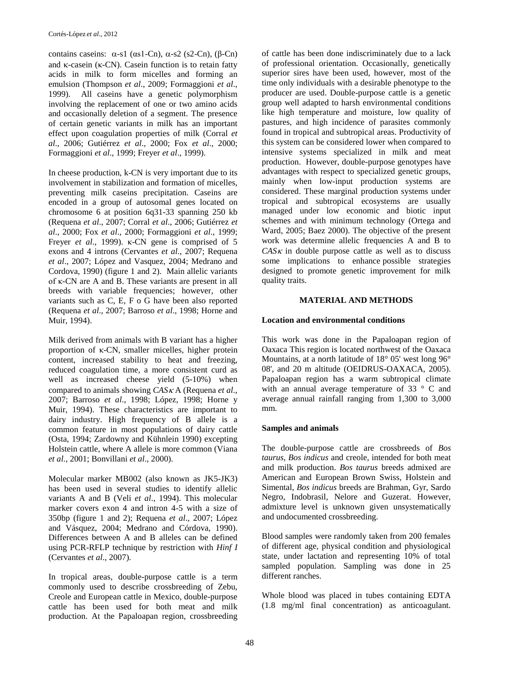contains caseins:  $\alpha$ -s1 ( $\alpha$ s1-Cn),  $\alpha$ -s2 (s2-Cn), (β-Cn) and κ-casein (κ-CN). Casein function is to retain fatty acids in milk to form micelles and forming an emulsion (Thompson *et al*., 2009; Formaggioni *et al*., 1999). All caseins have a genetic polymorphism involving the replacement of one or two amino acids and occasionally deletion of a segment. The presence of certain genetic variants in milk has an important effect upon coagulation properties of milk (Corral *et al*., 2006; Gutiérrez *et al*., 2000; Fox *et al*., 2000; Formaggioni *et al*., 1999; Freyer *et al*., 1999).

In cheese production, k-CN is very important due to its involvement in stabilization and formation of micelles, preventing milk caseins precipitation. Caseins are encoded in a group of autosomal genes located on chromosome 6 at position 6q31-33 spanning 250 kb (Requena *et al*., 2007; Corral *et al*., 2006; Gutiérrez *et al*., 2000; Fox *et al*., 2000; Formaggioni *et al*., 1999; Freyer *et al*., 1999). κ-CN gene is comprised of 5 exons and 4 introns (Cervantes *et al*., 2007; Requena *et al*., 2007; López and Vasquez, 2004; Medrano and Cordova, 1990) (figure 1 and 2). Main allelic variants of κ*-*CN are A and B. These variants are present in all breeds with variable frequencies; however, other variants such as C, E, F o G have been also reported (Requena *et al*., 2007; Barroso *et al*., 1998; Horne and Muir, 1994).

Milk derived from animals with B variant has a higher proportion of κ-CN, smaller micelles, higher protein content, increased stability to heat and freezing, reduced coagulation time, a more consistent curd as well as increased cheese yield (5-10%) when compared to animals showing *CAS*  $\kappa$  A (Requena *et al.*, 2007; Barroso *et al*., 1998; López, 1998; Horne y Muir, 1994). These characteristics are important to dairy industry. High frequency of B allele is a common feature in most populations of dairy cattle (Osta, 1994; Zardowny and Kühnlein 1990) excepting Holstein cattle, where A allele is more common (Viana *et al*., 2001; Bonvillani *et al*., 2000).

Molecular marker MB002 (also known as JK5-JK3) has been used in several studies to identify allelic variants A and B (Veli *et al*., 1994). This molecular marker covers exon 4 and intron 4-5 with a size of 350bp (figure 1 and 2); Requena *et al*., 2007; López and Vásquez, 2004; Medrano and Córdova, 1990). Differences between A and B alleles can be defined using PCR-RFLP technique by restriction with *Hinf I* (Cervantes *et al*., 2007).

In tropical areas, double-purpose cattle is a term commonly used to describe crossbreeding of Zebu, Creole and European cattle in Mexico, double-purpose cattle has been used for both meat and milk production. At the Papaloapan region, crossbreeding of cattle has been done indiscriminately due to a lack of professional orientation. Occasionally, genetically superior sires have been used, however, most of the time only individuals with a desirable phenotype to the producer are used. Double-purpose cattle is a genetic group well adapted to harsh environmental conditions like high temperature and moisture, low quality of pastures, and high incidence of parasites commonly found in tropical and subtropical areas. Productivity of this system can be considered lower when compared to intensive systems specialized in milk and meat production. However, double-purpose genotypes have advantages with respect to specialized genetic groups, mainly when low-input production systems are considered. These marginal production systems under tropical and subtropical ecosystems are usually managed under low economic and biotic input schemes and with minimum technology (Ortega and Ward, 2005; Baez 2000). The objective of the present work was determine allelic frequencies A and B to  $CAS_K$  in double purpose cattle as well as to discuss some implications to enhance possible strategies designed to promote genetic improvement for milk quality traits.

### **MATERIAL AND METHODS**

# **Location and environmental conditions**

This work was done in the Papaloapan region of Oaxaca This region is located northwest of the Oaxaca Mountains, at a north latitude of 18° 05' west long 96° 08', and 20 m altitude (OEIDRUS-OAXACA, 2005). Papaloapan region has a warm subtropical climate with an annual average temperature of 33 ° C and average annual rainfall ranging from 1,300 to 3,000 mm.

### **Samples and animals**

The double-purpose cattle are crossbreeds of *Bos taurus, Bos indicus* and creole, intended for both meat and milk production. *Bos taurus* breeds admixed are American and European Brown Swiss, Holstein and Simental, *Bos indicus* breeds are Brahman, Gyr, Sardo Negro, Indobrasil, Nelore and Guzerat. However, admixture level is unknown given unsystematically and undocumented crossbreeding.

Blood samples were randomly taken from 200 females of different age, physical condition and physiological state, under lactation and representing 10% of total sampled population. Sampling was done in 25 different ranches.

Whole blood was placed in tubes containing EDTA (1.8 mg/ml final concentration) as anticoagulant.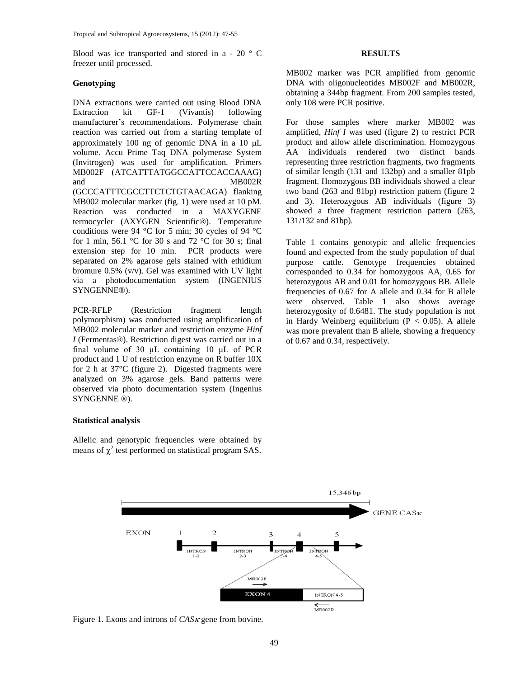Blood was ice transported and stored in a - 20 ° C freezer until processed.

### **Genotyping**

DNA extractions were carried out using Blood DNA Extraction kit GF-1 (Vivantis) following manufacturer's recommendations. Polymerase chain reaction was carried out from a starting template of approximately 100 ng of genomic DNA in a 10  $\mu$ L volume. Accu Prime Taq DNA polymerase System (Invitrogen) was used for amplification. Primers MB002F (ATCATTTATGGCCATTCCACCAAAG) and MB002R (GCCCATTTCGCCTTCTCTGTAACAGA) flanking MB002 molecular marker (fig. 1) were used at 10 pM. Reaction was conducted in a MAXYGENE termocycler (AXYGEN Scientific®). Temperature conditions were 94 °C for 5 min; 30 cycles of 94 °C for 1 min, 56.1  $\degree$ C for 30 s and 72  $\degree$ C for 30 s; final extension step for 10 min. PCR products were separated on 2% agarose gels stained with ethidium bromure 0.5% (v/v). Gel was examined with UV light via a photodocumentation system (INGENIUS SYNGENNE®).

PCR-RFLP (Restriction [fragment length](http://en.wikipedia.org/wiki/Restriction_fragment_length_polymorphism)  [polymorphism\)](http://en.wikipedia.org/wiki/Restriction_fragment_length_polymorphism) was conducted using amplification of MB002 molecular marker and restriction enzyme *Hinf I* (Fermentas®). Restriction digest was carried out in a final volume of 30 μL containing 10 μL of PCR product and 1 U of restriction enzyme on R buffer 10X for 2 h at 37°C (figure 2). Digested fragments were analyzed on 3% agarose gels. Band patterns were observed via photo documentation system (Ingenius SYNGENNE ®).

### **Statistical analysis**

Allelic and genotypic frequencies were obtained by means of  $\chi^2$  test performed on statistical program SAS.

### **RESULTS**

MB002 marker was PCR amplified from genomic DNA with oligonucleotides MB002F and MB002R, obtaining a 344bp fragment. From 200 samples tested, only 108 were PCR positive.

For those samples where marker MB002 was amplified, *Hinf I* was used (figure 2) to restrict PCR product and allow allele discrimination. Homozygous AA individuals rendered two distinct bands representing three restriction fragments, two fragments of similar length (131 and 132bp) and a smaller 81pb fragment. Homozygous BB individuals showed a clear two band (263 and 81bp) restriction pattern (figure 2 and 3). Heterozygous AB individuals (figure 3) showed a three fragment restriction pattern (263, 131/132 and 81bp).

Table 1 contains genotypic and allelic frequencies found and expected from the study population of dual purpose cattle. Genotype frequencies obtained corresponded to 0.34 for homozygous AA, 0.65 for heterozygous AB and 0.01 for homozygous BB. Allele frequencies of 0.67 for A allele and 0.34 for B allele were observed. Table 1 also shows average heterozygosity of 0.6481. The study population is not in Hardy Weinberg equilibrium ( $P < 0.05$ ). A allele was more prevalent than B allele, showing a frequency of 0.67 and 0.34, respectively.



Figure 1. Exons and introns of  $CAS\kappa$  gene from bovine.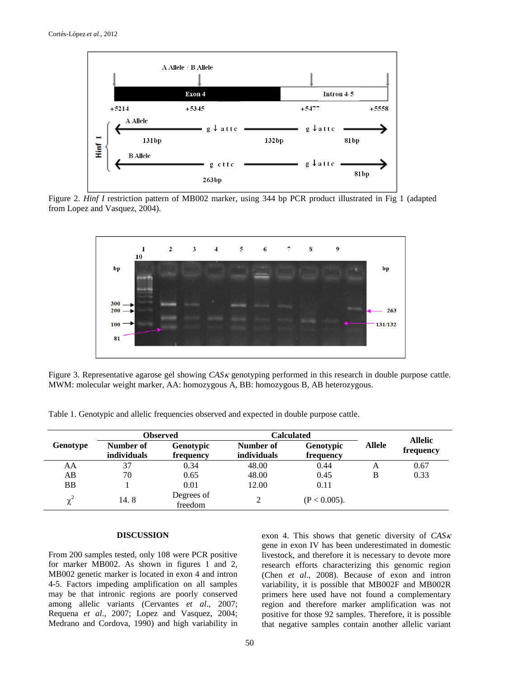

Figure 2. *Hinf I* restriction pattern of MB002 marker, using 344 bp PCR product illustrated in Fig 1 (adapted from Lopez and Vasquez, 2004).



Figure 3. Representative agarose gel showing *CAS k* genotyping performed in this research in double purpose cattle. MWM: molecular weight marker, AA: homozygous A, BB: homozygous B, AB heterozygous.

Table 1. Genotypic and allelic frequencies observed and expected in double purpose cattle.

|           | <b>Observed</b>                 |                               | <b>Calculated</b>               |                               |               | <b>Allelic</b> |
|-----------|---------------------------------|-------------------------------|---------------------------------|-------------------------------|---------------|----------------|
| Genotype  | Number of<br><i>individuals</i> | <b>Genotypic</b><br>frequency | Number of<br><i>individuals</i> | <b>Genotypic</b><br>frequency | <b>Allele</b> | frequency      |
| AA        | 37                              | 0.34                          | 48.00                           | 0.44                          | А             | 0.67           |
| AB        | 70                              | 0.65                          | 48.00                           | 0.45                          | B             | 0.33           |
| <b>BB</b> |                                 | 0.01                          | 12.00                           | 0.11                          |               |                |
| $\chi^2$  | 14.8                            | Degrees of<br>freedom         |                                 | $(P < 0.005)$ .               |               |                |

#### **DISCUSSION**

From 200 samples tested, only 108 were PCR positive for marker MB002. As shown in figures 1 and 2, MB002 genetic marker is located in exon 4 and intron 4-5. Factors impeding amplification on all samples may be that intronic regions are poorly conserved among allelic variants (Cervantes *et al*., 2007; Requena *et al*., 2007; Lopez and Vasquez, 2004; Medrano and Cordova, 1990) and high variability in exon 4. This shows that genetic diversity of  $CAS\kappa$ gene in exon IV has been underestimated in domestic livestock, and therefore it is necessary to devote more research efforts characterizing this genomic region (Chen *et al*., 2008). Because of exon and intron variability, it is possible that MB002F and MB002R primers here used have not found a complementary region and therefore marker amplification was not positive for those 92 samples. Therefore, it is possible that negative samples contain another allelic variant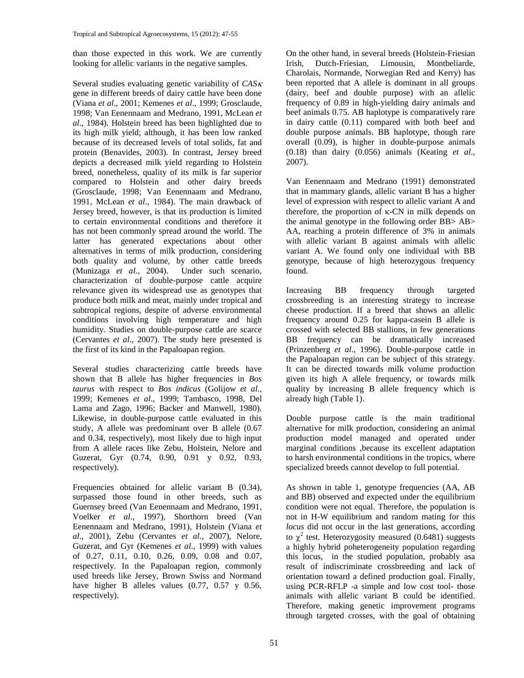than those expected in this work. We are currently looking for allelic variants in the negative samples.

Several studies evaluating genetic variability of *CAS* gene in different breeds of dairy cattle have been done (Viana *et al*., 2001; Kemenes *et al*., 1999; Grosclaude, 1998; Van Eenennaam and Medrano, 1991, McLean *et al*., 1984). Holstein breed has been highlighted due to its high milk yield; although, it has been low ranked because of its decreased levels of total solids, fat and protein (Benavides, 2003). In contrast, Jersey breed depicts a decreased milk yield regarding to Holstein breed, nonetheless, quality of its milk is far superior compared to Holstein and other dairy breeds (Grosclaude, 1998; Van Eenennaam and Medrano, 1991, McLean *et al*., 1984). The main drawback of Jersey breed, however, is that its production is limited to certain environmental conditions and therefore it has not been commonly spread around the world. The latter has generated expectations about other alternatives in terms of milk production, considering both quality and volume, by other cattle breeds (Munizaga *et al*., 2004). Under such scenario, characterization of double-purpose cattle acquire relevance given its widespread use as genotypes that produce both milk and meat, mainly under tropical and subtropical regions, despite of adverse environmental conditions involving high temperature and high humidity. Studies on double-purpose cattle are scarce (Cervantes *et al*., 2007). The study here presented is the first of its kind in the Papaloapan region.

Several studies characterizing cattle breeds have shown that B allele has higher frequencies in *Bos taurus* with respect to *Bos indicus* (Golijow *et al*., 1999; Kemenes *et al*., 1999; Tambasco, 1998, Del Lama and Zago, 1996; Backer and Manwell, 1980). Likewise, in double-purpose cattle evaluated in this study, A allele was predominant over B allele (0.67 and 0.34, respectively), most likely due to high input from A allele races like Zebu, Holstein, Nelore and Guzerat, Gyr (0.74, 0.90, 0.91 y 0.92, 0.93, respectively).

Frequencies obtained for allelic variant B (0.34), surpassed those found in other breeds, such as Guernsey breed (Van Eenennaam and Medrano, 1991, Voelker *et al*., 1997), Shorthorn breed (Van Eenennaam and Medrano, 1991), Holstein (Viana *et al*., 2001), Zebu (Cervantes *et al*., 2007), Nelore, Guzerat, and Gyr (Kemenes *et al*., 1999) with values of 0.27, 0.11, 0.10, 0.26, 0.09, 0.08 and 0.07, respectively. In the Papaloapan region, commonly used breeds like Jersey, Brown Swiss and Normand have higher B alleles values (0.77, 0.57 y 0.56, respectively).

On the other hand, in several breeds (Holstein-Friesian Irish, Dutch-Friesian, Limousin, Montbeliarde, Charolais, Normande, Norwegian Red and Kerry) has been reported that A allele is dominant in all groups (dairy, beef and double purpose) with an allelic frequency of 0.89 in high-yielding dairy animals and beef animals 0.75. AB haplotype is comparatively rare in dairy cattle (0.11) compared with both beef and double purpose animals. BB haplotype, though rare overall (0.09), is higher in double-purpose animals (0.18) than dairy (0.056) animals (Keating *et al*., 2007).

Van Eenennaam and Medrano (1991) demonstrated that in mammary glands, allelic variant B has a higher level of expression with respect to allelic variant A and therefore, the proportion of  $\kappa$ -CN in milk depends on the animal genotype in the following order BB> AB> AA, reaching a protein difference of 3% in animals with allelic variant B against animals with allelic variant A. We found only one individual with BB genotype, because of high heterozygous frequency found.

Increasing BB frequency through targeted crossbreeding is an interesting strategy to increase cheese production. If a breed that shows an allelic frequency around 0.25 for kappa-casein B allele is crossed with selected BB stallions, in few generations BB frequency can be dramatically increased (Prinzenberg *et al*., 1996). Double-purpose cattle in the Papaloapan region can be subject of this strategy. It can be directed towards milk volume production given its high A allele frequency, or towards milk quality by increasing B allele frequency which is already high (Table 1).

Double purpose cattle is the main traditional alternative for milk production, considering an animal production model managed and operated under marginal conditions ,because its excellent adaptation to harsh environmental conditions in the tropics, where specialized breeds cannot develop to full potential.

As shown in table 1, genotype frequencies (AA, AB and BB) observed and expected under the equilibrium condition were not equal. Therefore, the population is not in H-W equilibrium and random mating for this *locus* did not occur in the last generations, according to  $\chi^2$  test. Heterozygosity measured (0.6481) suggests a highly hybrid poheterogeneity population regarding this locus, in the studied population, probably asa result of indiscriminate crossbreeding and lack of orientation toward a defined production goal. Finally, using PCR-RFLP -a simple and low cost tool- those animals with allelic variant B could be identified. Therefore, making genetic improvement programs through targeted crosses, with the goal of obtaining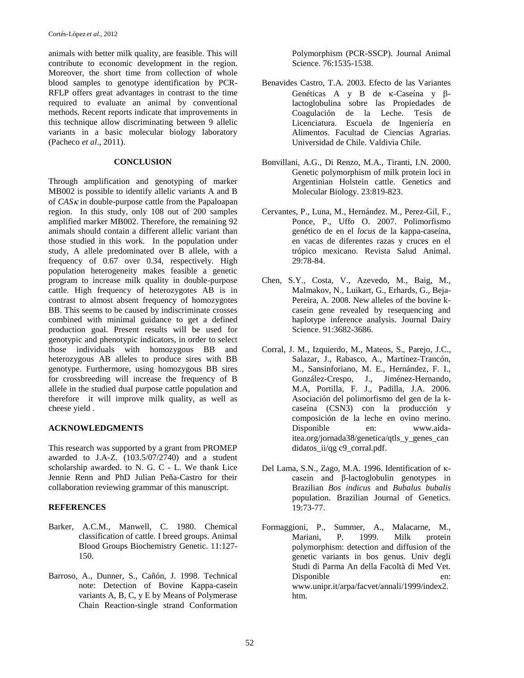animals with better milk quality, are feasible. This will contribute to economic development in the region. Moreover, the short time from collection of whole blood samples to genotype identification by PCR-RFLP offers great advantages in contrast to the time required to evaluate an animal by conventional methods. Recent reports indicate that improvements in this technique allow discriminating between 9 allelic variants in a basic molecular biology laboratory (Pacheco *et al*., 2011).

# **CONCLUSION**

Through amplification and genotyping of marker MB002 is possible to identify allelic variants A and B of  $CAS_K$  in double-purpose cattle from the Papaloapan region. In this study, only 108 out of 200 samples amplified marker MB002. Therefore, the remaining 92 animals should contain a different allelic variant than those studied in this work. In the population under study, A allele predominated over B allele, with a frequency of 0.67 over 0.34, respectively. High population heterogeneity makes feasible a genetic program to increase milk quality in double-purpose cattle. High frequency of heterozygotes AB is in contrast to almost absent frequency of homozygotes BB. This seems to be caused by indiscriminate crosses combined with minimal guidance to get a defined production goal. Present results will be used for genotypic and phenotypic indicators, in order to select those individuals with homozygous BB and heterozygous AB alleles to produce sires with BB genotype. Furthermore, using homozygous BB sires for crossbreeding will increase the frequency of B allele in the studied dual purpose cattle population and therefore it will improve milk quality, as well as cheese yield .

# **ACKNOWLEDGMENTS**

This research was supported by a grant from PROMEP awarded to J.A-Z. (103.5/07/2740) and a student scholarship awarded. to N. G. C - L. We thank Lice Jennie Renn and PhD Julian Peña-Castro for their collaboration reviewing grammar of this manuscript.

# **REFERENCES**

- Barker, A.C.M., Manwell, C. 1980. Chemical classification of cattle. I breed groups. Animal Blood Groups Biochemistry Genetic. 11:127- 150.
- Barroso, A., Dunner, S., Cañón, J. 1998. Technical note: Detection of Bovine Kappa-casein variants A, B, C, y E by Means of Polymerase Chain Reaction-single strand Conformation

Polymorphism (PCR-SSCP). Journal Animal Science. 76:1535-1538.

- Benavides Castro, T.A. 2003. Efecto de las Variantes Genéticas A y B de  $\kappa$ -Caseína y  $\beta$ lactoglobulina sobre las Propiedades de Coagulación de la Leche. Tesis de Licenciatura. Escuela de Ingeniería en Alimentos. Facultad de Ciencias Agrarias. Universidad de Chile. Valdivia Chile.
- Bonvillani, A.G., Di Renzo, M.A., Tiranti, I.N. 2000. Genetic polymorphism of milk protein loci in Argentinian Holstein cattle. Genetics and Molecular Biology. 23:819-823.
- Cervantes, P., Luna, M., Hernández. M., Perez-Gil, F., Ponce, P., Uffo O. 2007. Polimorfismo genético de en el *locus* de la kappa-caseína, en vacas de diferentes razas y cruces en el trópico mexicano. Revista Salud Animal. 29:78-84.
- Chen, S.Y., Costa, V., Azevedo, M., Baig, M., Malmakov, N., Luikart, G., Erhards, G., Beja-Pereira, A. 2008. New alleles of the bovine kcasein gene revealed by resequencing and haplotype inference analysis. Journal Dairy Science. 91:3682-3686.
- Corral, J. M., Izquierdo, M., Mateos, S., Parejo, J.C., Salazar, J., Rabasco, A., Martínez-Trancón, M., Sansinforiano, M. E., Hernández, F. I., González-Crespo, J., Jiménez-Hernando, M.A, Portilla, F. J., Padilla, J.A. 2006. Asociación del polimorfismo del gen de la kcaseína (CSN3) con la producción y composición de la leche en ovino merino. Disponible en: [www.aida](http://www.aida-itea.org/jornada38/genetica/qtls_y_genes_candidatos_ii/qg%20c9_corral.pdf)[itea.org/jornada38/genetica/qtls\\_y\\_genes\\_can](http://www.aida-itea.org/jornada38/genetica/qtls_y_genes_candidatos_ii/qg%20c9_corral.pdf) [didatos\\_ii/qg c9\\_corral.pdf.](http://www.aida-itea.org/jornada38/genetica/qtls_y_genes_candidatos_ii/qg%20c9_corral.pdf)
- Del Lama, S.N., Zago, M.A. 1996. Identification of  $\kappa$ casein and β-lactoglobulin genotypes in Brazilian *Bos indicus* and *Bubalus bubalis* population. Brazilian Journal of Genetics. 19:73-77.
- Formaggioni, P., Summer, A., Malacarne, M., Mariani, P. 1999. Milk protein polymorphism: detection and diffusion of the genetic variants in bos genus. Univ degli Studi di Parma An della Facoltà di Med Vet. Disponible en: www.unipr.it/arpa/facvet/annali/1999/index2. htm.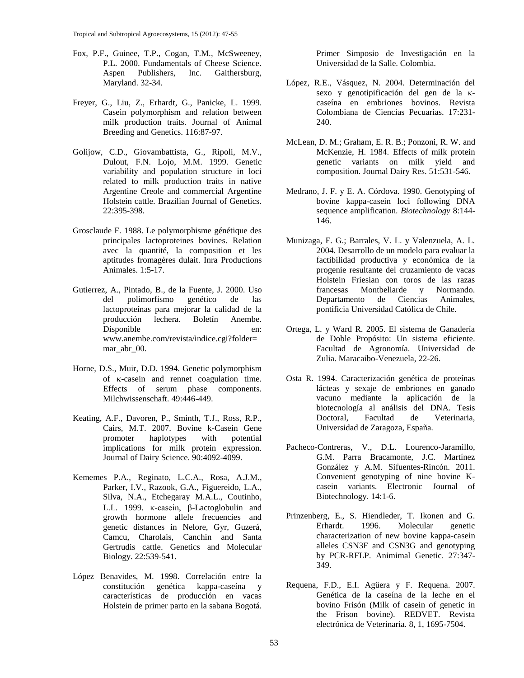- Fox, P.F., Guinee, T.P., Cogan, T.M., McSweeney, P.L. 2000. Fundamentals of Cheese Science.<br>Aspen Publishers. Inc. Gaithersburg. Aspen Publishers, Inc. Gaithersburg, Maryland. 32-34.
- Freyer, G., Liu, Z., Erhardt, G., Panicke, L. 1999. Casein polymorphism and relation between milk production traits. Journal of Animal Breeding and Genetics. 116:87-97.
- Golijow, C.D., Giovambattista, G., Ripoli, M.V., Dulout, F.N. Lojo, M.M. 1999. Genetic variability and population structure in loci related to milk production traits in native Argentine Creole and commercial Argentine Holstein cattle. Brazilian Journal of Genetics. 22:395-398.
- Grosclaude F. 1988. Le polymorphisme génétique des principales lactoproteines bovines. Relation avec la quantité, la composition et les aptitudes fromagères dulait. Inra Productions Animales. 1:5-17.
- Gutierrez, A., Pintado, B., de la Fuente, J. 2000. Uso<br>del polimorfismo genético de las del polimorfismo genético de las lactoproteínas para mejorar la calidad de la producción lechera. Boletín Anembe. Disponible en: www.anembe.com/revista/indice.cgi?folder= mar\_abr\_00.
- Horne, D.S., Muir, D.D. 1994. Genetic polymorphism of  $\kappa$ -casein and rennet coagulation time. Effects of serum phase components. Milchwissenschaft. 49:446-449.
- Keating, A.F., Davoren, P., Sminth, T.J., Ross, R.P., Cairs, M.T. 2007. Bovine k-Casein Gene promoter haplotypes with potential implications for milk protein expression. Journal of Dairy Science. 90:4092-4099.
- Kememes P.A., Reginato, L.C.A., Rosa, A.J.M., Parker, I.V., Razook, G.A., Figuereido, L.A., Silva, N.A., Etchegaray M.A.L., Coutinho, L.L. 1999. κ-casein, β-Lactoglobulin and growth hormone allele frecuencies and genetic distances in Nelore, Gyr, Guzerá, Camcu, Charolais, Canchin and Santa Gertrudis cattle. [Genetics and Molecular](http://www.scielo.br/gmb)  [Biology.](http://www.scielo.br/gmb) 22:539-541.
- López Benavides, M. 1998. Correlación entre la constitución genética kappa-caseína y características de producción en vacas Holstein de primer parto en la sabana Bogotá.

Primer Simposio de Investigación en la Universidad de la Salle. Colombia.

- López, R.E., Vásquez, N. 2004. Determinación del sexo y genotipificación del gen de la κcaseína en embriones bovinos. Revista Colombiana de Ciencias Pecuarias. 17:231- 240.
- McLean, D. M.; Graham, E. R. B.; Ponzoni, R. W. and McKenzie, H. 1984. Effects of milk protein genetic variants on milk yield and composition. Journal Dairy Res. 51:531-546.
- Medrano, J. F. y E. A. Córdova. 1990. Genotyping of bovine kappa-casein loci following DNA sequence amplification. *Biotechnology* 8:144- 146.
- Munizaga, F. G.; Barrales, V. L. y Valenzuela, A. L. 2004. Desarrollo de un modelo para evaluar la factibilidad productiva y económica de la progenie resultante del cruzamiento de vacas Holstein Friesian con toros de las razas francesas Montbeliarde y Normando.<br>Departamento de Ciencias Animales, Departamento pontificia Universidad Católica de Chile.
- Ortega, L. y Ward R. 2005. El sistema de Ganadería de Doble Propósito: Un sistema eficiente. Facultad de Agronomía. Universidad de Zulia. Maracaibo-Venezuela, 22-26.
- Osta R. 1994. Caracterización genética de proteínas lácteas y sexaje de embriones en ganado vacuno mediante la aplicación de la biotecnología al análisis del DNA. Tesis Doctoral, Facultad de Veterinaria, Universidad de Zaragoza, España.
- Pacheco-Contreras, V., D.L. Lourenco-Jaramillo, G.M. Parra Bracamonte, J.C. Martínez González y A.M. Sifuentes-Rincón. 2011. Convenient genotyping of nine bovine Kcasein variants. Electronic Journal of Biotechnology. 14:1-6.
- Prinzenberg, E., S. Hiendleder, T. Ikonen and G. Erhardt. 1996. Molecular genetic characterization of new bovine kappa-casein alleles CSN3F and CSN3G and genotyping by PCR-RFLP. Animimal Genetic. 27:347- 349.
- Requena, F.D., E.I. Agüera y F. Requena. 2007. Genética de la caseína de la leche en el bovino Frisón (Milk of casein of genetic in the Frison bovine). REDVET. Revista electrónica de Veterinaria. 8, 1, 1695-7504.